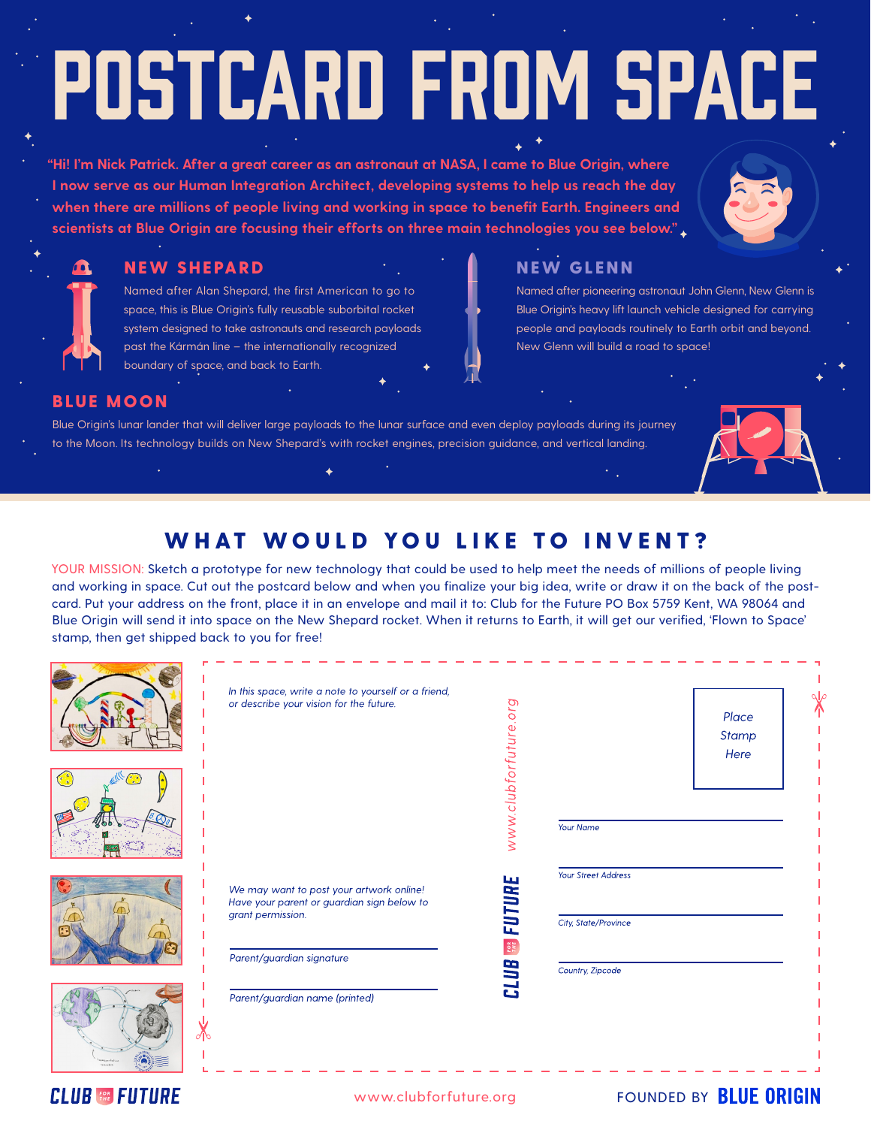# Postcard from Space

**"Hi! I'm Nick Patrick. After a great career as an astronaut at NASA, I came to Blue Origin, where I now serve as our Human Integration Architect, developing systems to help us reach the day when there are millions of people living and working in space to benefit Earth. Engineers and scientists at Blue Origin are focusing their efforts on three main technologies you see below."**



#### NEW SHEPARD NEW GLENN

Named after Alan Shepard, the first American to go to space, this is Blue Origin's fully reusable suborbital rocket system designed to take astronauts and research payloads past the Kármán line – the internationally recognized boundary of space, and back to Earth.

Named after pioneering astronaut John Glenn, New Glenn is Blue Origin's heavy lift launch vehicle designed for carrying people and payloads routinely to Earth orbit and beyond. New Glenn will build a road to space!

#### BLUE MOON

Blue Origin's lunar lander that will deliver large payloads to the lunar surface and even deploy payloads during its journey to the Moon. Its technology builds on New Shepard's with rocket engines, precision guidance, and vertical landing.



# WHAT WOULD YOU LIKE TO INVENT?

YOUR MISSION: Sketch a prototype for new technology that could be used to help meet the needs of millions of people living and working in space. Cut out the postcard below and when you finalize your big idea, write or draw it on the back of the postcard. Put your address on the front, place it in an envelope and mail it to: Club for the Future PO Box 5759 Kent, WA 98064 and Blue Origin will send it into space on the New Shepard rocket. When it returns to Earth, it will get our verified, 'Flown to Space' stamp, then get shipped back to you for free!

|       | In this space, write a note to yourself or a friend,<br>or describe your vision for the future.                                          | www.clubforfuture.org | Your Name                                                       | Place<br>Stamp<br>Here |
|-------|------------------------------------------------------------------------------------------------------------------------------------------|-----------------------|-----------------------------------------------------------------|------------------------|
|       | We may want to post your artwork online!<br>Have your parent or guardian sign below to<br>grant permission.<br>Parent/guardian signature | <b>FUTURE</b><br>FOR  | Your Street Address<br>City, State/Province<br>Country, Zipcode |                        |
| ิ∉ใ\∩ | Parent/guardian name (printed)                                                                                                           | <b>CLUB</b>           |                                                                 |                        |

## **CLUB & FUTURE**

### www.clubforfuture.org FOUNDED BY **BLUE ORIGIN**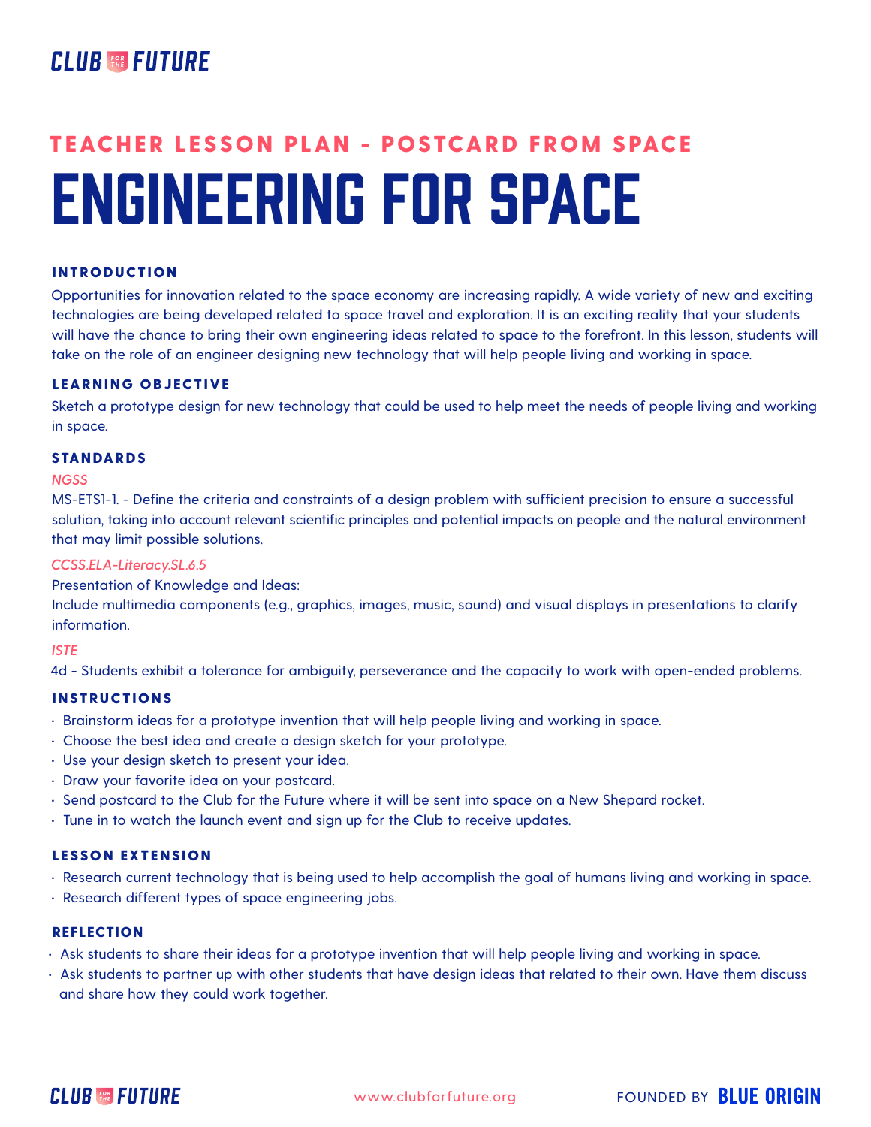# **CLUB FOR FUTURE**

# ENGINEERING FOR SPACE TEACHER LESSON PLAN - POSTCARD FROM SPACE

#### INTRODUCTION

Opportunities for innovation related to the space economy are increasing rapidly. A wide variety of new and exciting technologies are being developed related to space travel and exploration. It is an exciting reality that your students will have the chance to bring their own engineering ideas related to space to the forefront. In this lesson, students will take on the role of an engineer designing new technology that will help people living and working in space.

#### LEARNING OBJECTIVE

Sketch a prototype design for new technology that could be used to help meet the needs of people living and working in space.

#### STANDARDS

#### *NGSS*

MS-ETS1-1. - Define the criteria and constraints of a design problem with sufficient precision to ensure a successful solution, taking into account relevant scientific principles and potential impacts on people and the natural environment that may limit possible solutions.

#### *CCSS.ELA-Literacy.SL.6.5*

Presentation of Knowledge and Ideas:

Include multimedia components (e.g., graphics, images, music, sound) and visual displays in presentations to clarify information.

#### *ISTE*

4d - Students exhibit a tolerance for ambiguity, perseverance and the capacity to work with open-ended problems.

#### INSTRUCTIONS

- Brainstorm ideas for a prototype invention that will help people living and working in space.
- Choose the best idea and create a design sketch for your prototype.
- Use your design sketch to present your idea.
- Draw your favorite idea on your postcard.
- Send postcard to the Club for the Future where it will be sent into space on a New Shepard rocket.
- Tune in to watch the launch event and sign up for the Club to receive updates.

#### LESSON EXTENSION

- Research current technology that is being used to help accomplish the goal of humans living and working in space.
- Research different types of space engineering jobs.

#### REFLECTION

- Ask students to share their ideas for a prototype invention that will help people living and working in space.
- Ask students to partner up with other students that have design ideas that related to their own. Have them discuss and share how they could work together.



FOUNDED BY **BLUE ORIGIN**